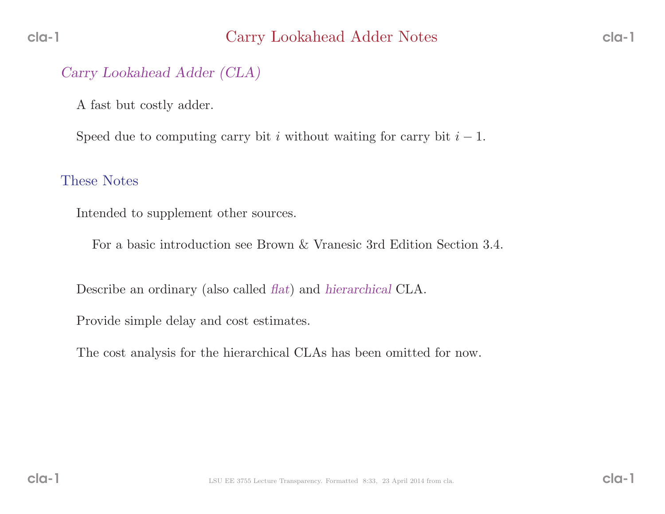### Carry Lookahead Adder (CLA)

<sup>A</sup> fast but costly adder.

Speed due to computing carry bit i without waiting for carry bit  $i - 1$ .

#### These Notes

Intended to supplement other sources.

For <sup>a</sup> basic introduction see Brown & Vranesic 3rd Edition Section 3.4.

Describe an ordinary (also called *flat*) and *hierarchical* CLA.

Provide simple delay and cost estimates.

The cost analysis for the hierarchical CLAs has been omitted for now.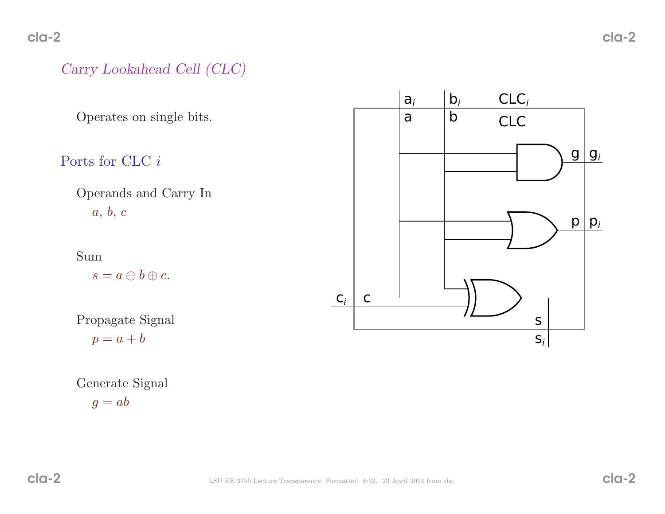# Carry Lookahead Cell (CLC)

Operates on single bits.

# Ports for CLC *i*

Operands and Carry In $a,\,b,\,c$ 

Sum

 $s = a \oplus b \oplus c.$ 

Propagate Signal

 $p = a + b$ 



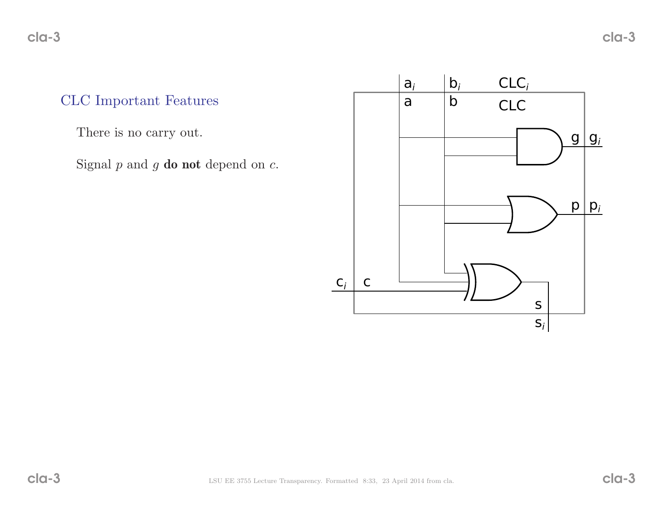# CLC Important Features

There is no carry out.

Signal  $p$  and  $g$  **do not** depend on  $c$ .

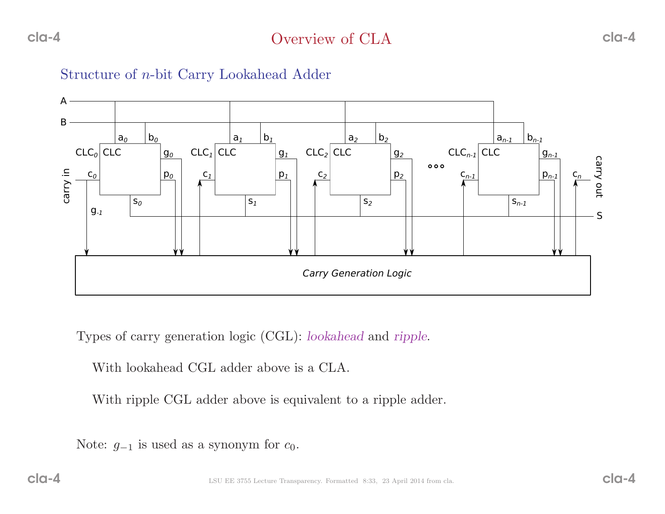



Types of carry generation logic (CGL): lookahead and ripple.

With lookahead CGL adder above is <sup>a</sup> CLA.

With ripple CGL adder above is equivalent to <sup>a</sup> ripple adder.

Note:  $g_{-1}$  is used as a synonym for  $c_0$ .

cla-4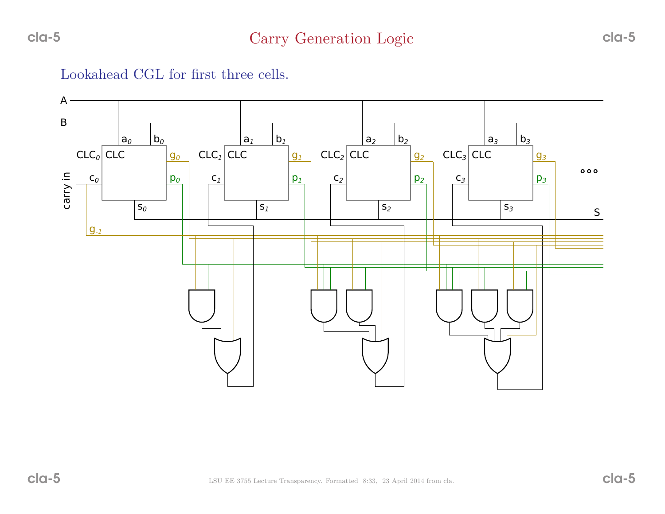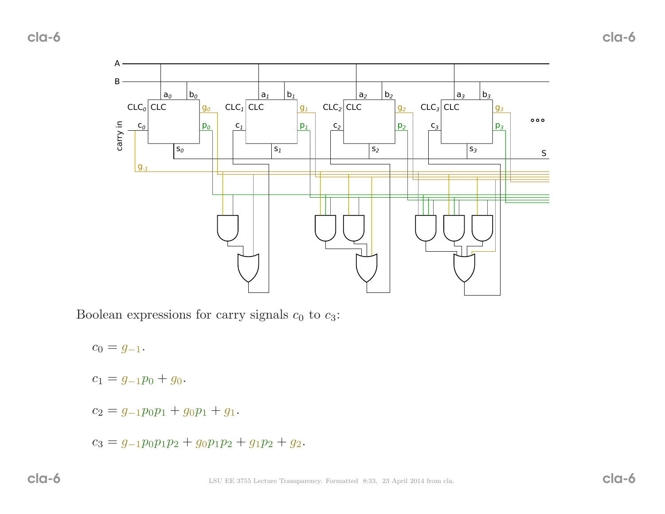cla-6



Boolean expressions for carry signals  $c_0$  to  $c_3$ :

 $c_0 = g_{-1}.$ 

 $c_1 = g_{-1}p_0 + g_0.$ 

- $c_2 = g_{-1}p_0p_1 + g_0p_1 + g_1.$
- $c_3 = g_{-1}p_0p_1p_2 + g_0p_1p_2 + g_1p_2 + g_2.$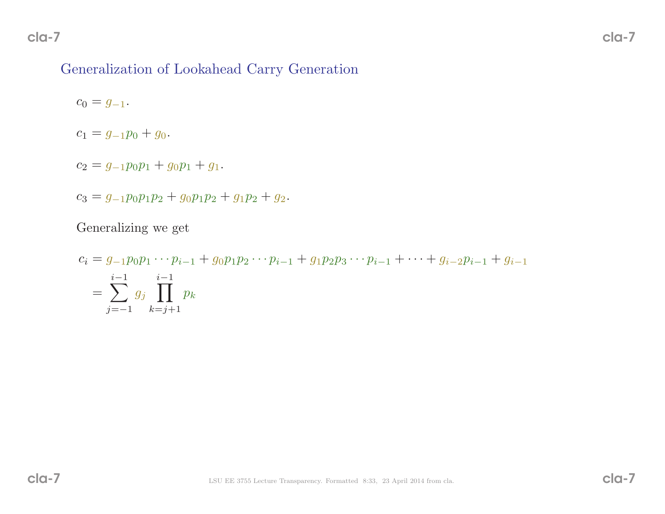# Generalization of Lookahead Carry Generation

 $c_0 = g_{-1}.$ 

$$
c_1 = g_{-1}p_0 + g_0.
$$

$$
c_2 = g_{-1}p_0p_1 + g_0p_1 + g_1.
$$

$$
c_3 = g_{-1}p_0p_1p_2 + g_0p_1p_2 + g_1p_2 + g_2.
$$

Generalizing we get

$$
c_i = g_{-1}p_0p_1 \cdots p_{i-1} + g_0p_1p_2 \cdots p_{i-1} + g_1p_2p_3 \cdots p_{i-1} + \cdots + g_{i-2}p_{i-1} + g_{i-1}
$$
  
= 
$$
\sum_{j=-1}^{i-1} g_j \prod_{k=j+1}^{i-1} p_k
$$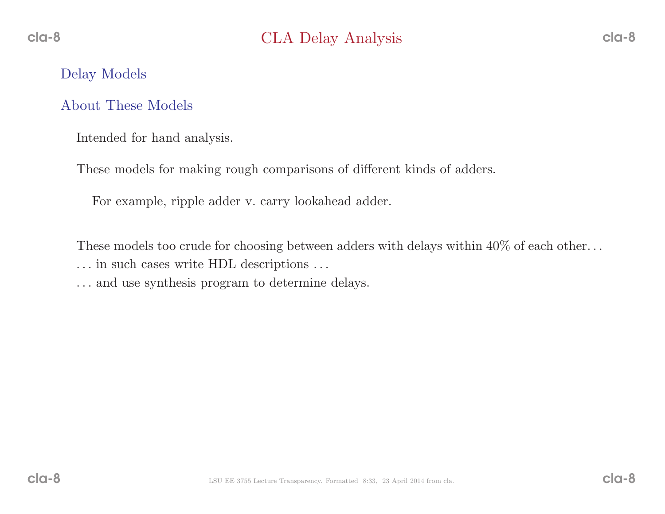### Delay Models

## About These Models

Intended for hand analysis.

These models for making roug<sup>h</sup> comparisons of different kinds of adders.

For example, ripple adder v. carry lookahead adder.

These models too crude for choosing between adders with delays within  $40\%$  of each other...

- . . . in such cases write HDL descriptions . . .
- . . . and use synthesis program to determine delays.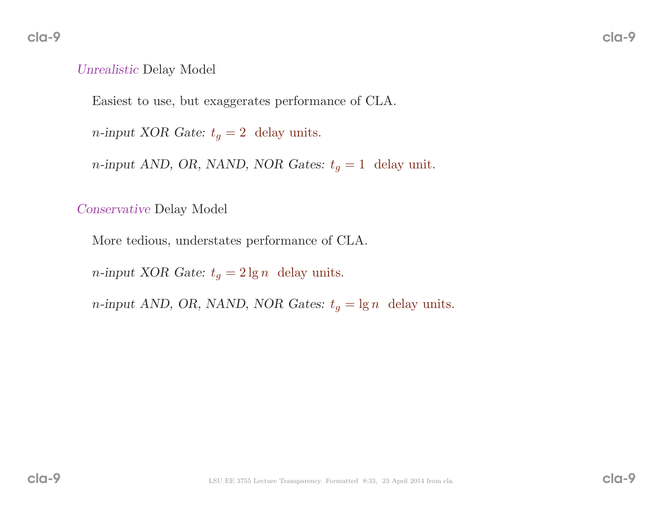# Unrealistic Delay Model

Easiest to use, but exaggerates performance of CLA.

*n*-input XOR Gate:  $t_g = 2$  delay units.

 $n$ -input AND, OR, NAND, NOR Gates:  $t_g = 1$  delay unit.

Conservative Delay Model

More tedious, understates performance of CLA.

*n*-input XOR Gate:  $t_g = 2 \lg n$  delay units.

 $n$ -input AND, OR, NAND, NOR Gates:  $t_g = \lg n$  delay units.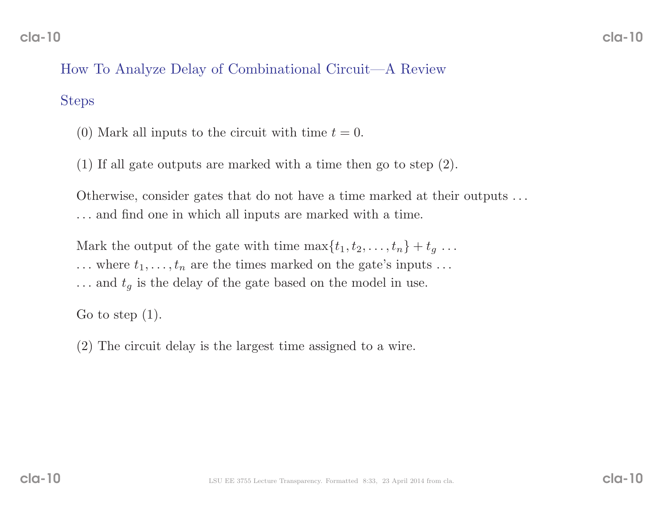# How To Analyze Delay of Combinational Circuit—A Review

#### Steps

- (0) Mark all inputs to the circuit with time  $t = 0$ .
- (1) If all gate outputs are marked with <sup>a</sup> time then go to step (2).

Otherwise, consider gates that do not have <sup>a</sup> time marked at their outputs . . . . . . and find one in which all inputs are marked with <sup>a</sup> time.

Mark the output of the gate with time  $\max\{t_1, t_2, \ldots, t_n\} + t_g \ldots$  $\dots$  where  $t_1, \dots, t_n$  are the times marked on the gate's inputs  $\dots$  $\dots$  and  $t_g$  is the delay of the gate based on the model in use.

Go to step  $(1)$ .

(2) The circuit delay is the largest time assigned to <sup>a</sup> wire.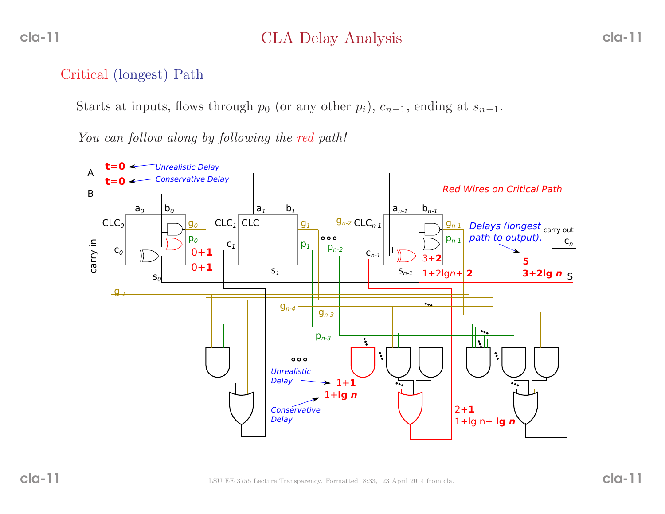# CLA Delay Analysis

# Critical (longest) Path

Starts at inputs, flows through  $p_0$  (or any other  $p_i$ ),  $c_{n-1}$ , ending at  $s_{n-1}$ .

You can follow along by following the red path!

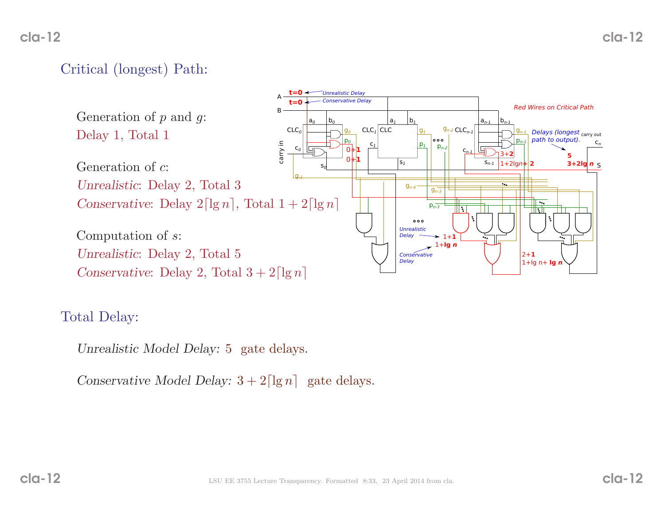# Critical (longest) Path:



### Total Delay:

Unrealistic Model Delay: <sup>5</sup> gate delays.

Conservative Model Delay:  $3 + 2\lceil \lg n \rceil$  gate delays.

cla-12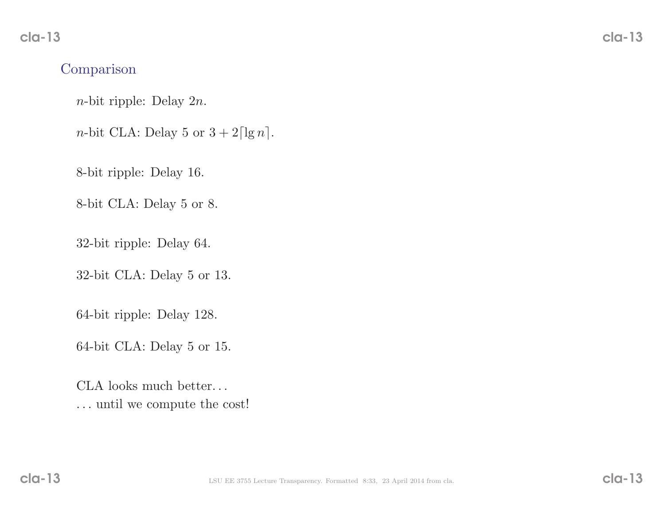### Comparison

<sup>n</sup>-bit ripple: Delay <sup>2</sup><sup>n</sup>.

*n*-bit CLA: Delay 5 or  $3 + 2\lceil \lg n \rceil$ .

8-bit ripple: Delay 16.

8-bit CLA: Delay <sup>5</sup> or 8.

32-bit ripple: Delay 64.

32-bit CLA: Delay <sup>5</sup> or 13.

64-bit ripple: Delay 128.

64-bit CLA: Delay <sup>5</sup> or 15.

CLA looks much better. . . . . . until we compute the cost!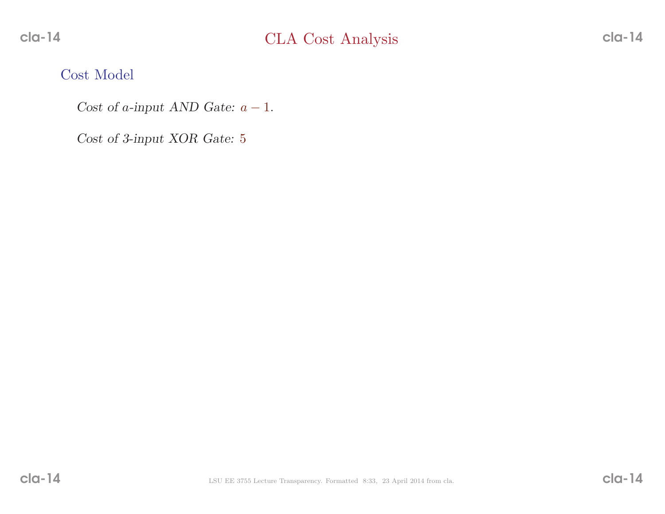Cost Model

Cost of a-input AND Gate:  $a - 1$ .

Cost of 3-input XOR Gate: <sup>5</sup>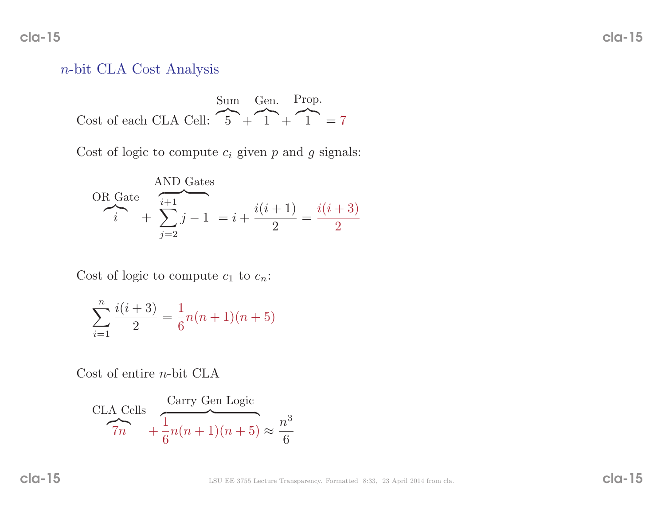cla-15

### <sup>n</sup>-bit CLA Cost Analysis

Cost of each CLA Cell:  $\overbrace{5}$  + Sum Gen. Prop.  $\widehat{1}$  +  $\widehat{1}$  = 7

Cost of logic to compute  $c_i$  given p and g signals:

OR Gate\n
$$
\overbrace{i+1 \atop i}^{AND \text{ Gates}} + \sum_{j=2}^{i+1} j - 1 = i + \frac{i(i+1)}{2} = \frac{i(i+3)}{2}
$$

Cost of logic to compute  $c_1$  to  $c_n$ :

$$
\sum_{i=1}^{n} \frac{i(i+3)}{2} = \frac{1}{6}n(n+1)(n+5)
$$

Cost of entire *n*-bit CLA

$$
\frac{\text{CLA Cells}}{7n} + \frac{\frac{\text{Carry Gen Logic}}{1}}{6}n(n+1)(n+5) \approx \frac{n^3}{6}
$$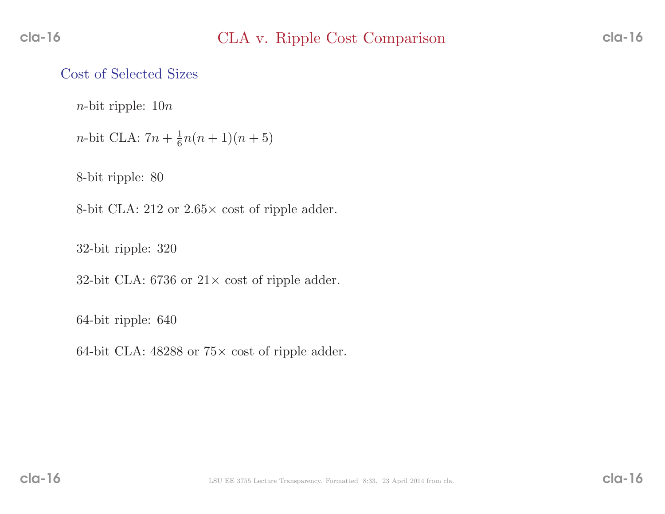### Cost of Selected Sizes

 $n$ -bit ripple:  $10n$ 

```
n-bit CLA: 7n + \frac{1}{6}n(n+1)(n+5)
```
8-bit ripple: <sup>80</sup>

8-bit CLA:  $212$  or  $2.65 \times \text{cost of ripple adder.}$ 

32-bit ripple: <sup>320</sup>

32-bit CLA: 6736 or  $21 \times \text{cost of ripple adder.}$ 

64-bit ripple: <sup>640</sup>

64-bit CLA:  $48288$  or  $75\times$  cost of ripple adder.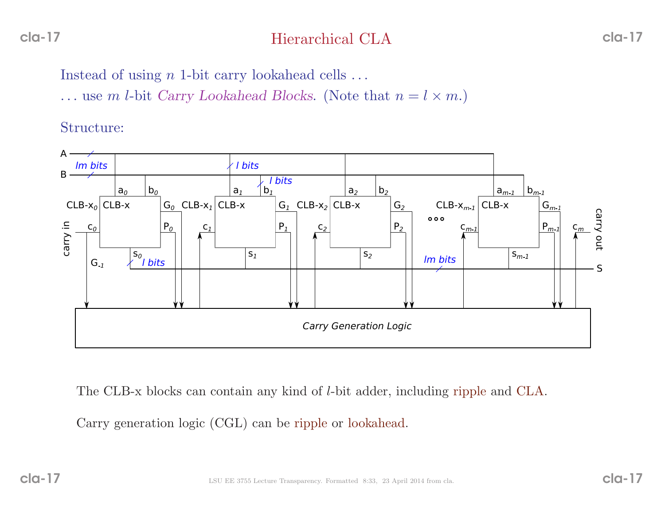# Hierarchical CLA

Instead of using  $n$  1-bit carry lookahead cells  $\dots$ 

... use m *l*-bit *Carry Lookahead Blocks*. (Note that  $n = l \times m$ .)

Structure:



The CLB-x blocks can contain any kind of <sup>l</sup>-bit adder, including ripple and CLA.

Carry generation logic (CGL) can be ripple or lookahead.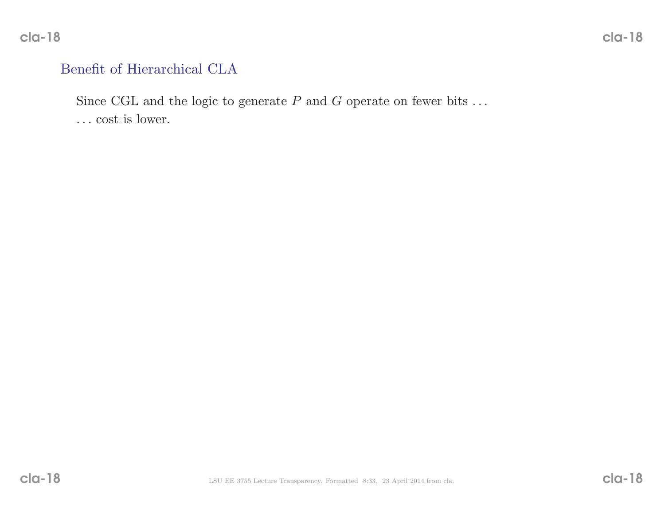### Benefit of Hierarchical CLA

Since CGL and the logic to generate  $P$  and  $G$  operate on fewer bits ...

. . . cost is lower.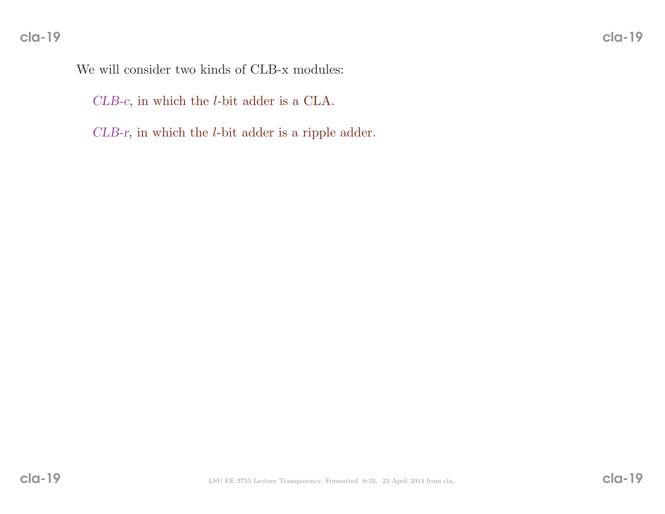We will consider two kinds of CLB-x modules:

CLB-c, in which the <sup>l</sup>-bit adder is <sup>a</sup> CLA.

CLB-r, in which the <sup>l</sup>-bit adder is <sup>a</sup> ripple adder.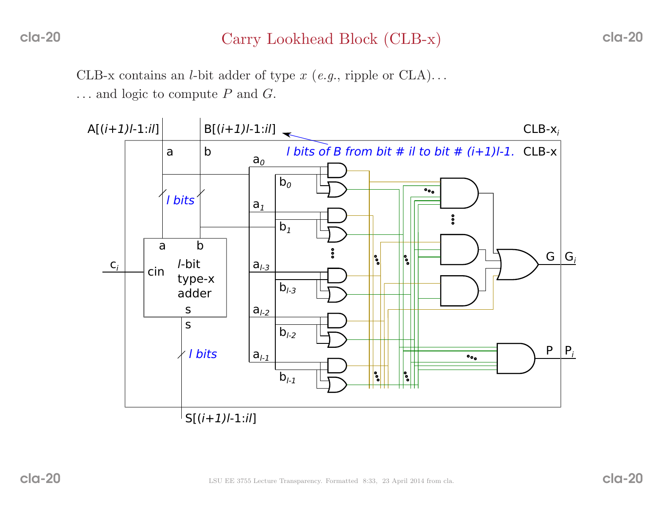# Carry Lookhead Block (CLB-x)

CLB-x contains an *l*-bit adder of type  $x$  (*e.g.*, ripple or CLA)...

 $\dots$  and logic to compute P and G.

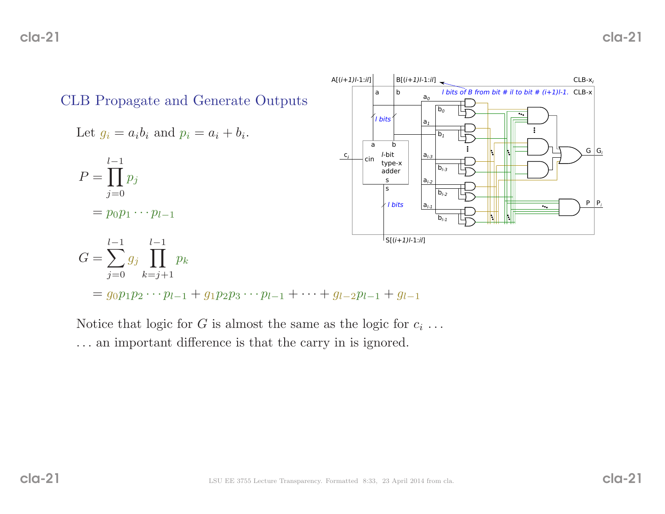

Notice that logic for  $G$  is almost the same as the logic for  $c_i \ldots$ . . . an important difference is that the carry in is ignored.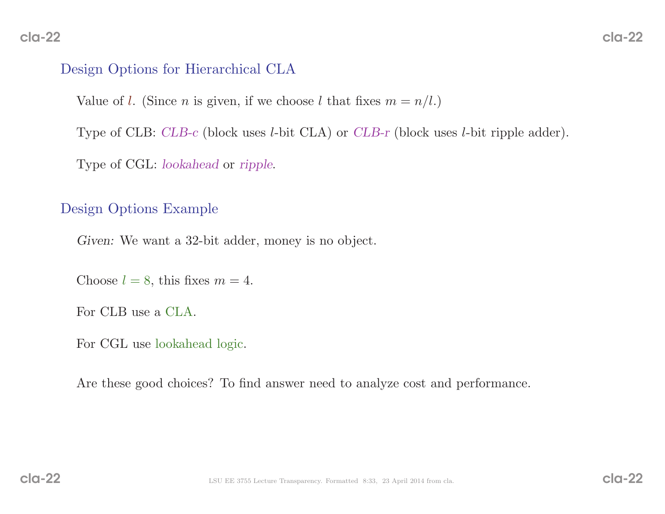## Design Options for Hierarchical CLA

Value of *l*. (Since *n* is given, if we choose *l* that fixes  $m = n/l$ .)

Type of CLB: *CLB-c* (block uses *l*-bit CLA) or *CLB-r* (block uses *l*-bit ripple adder).

Type of CGL: *lookahead* or *ripple*.

### Design Options Example

Given: We want <sup>a</sup> 32-bit adder, money is no object.

Choose  $l = 8$ , this fixes  $m = 4$ .

For CLB use <sup>a</sup> CLA.

For CGL use lookahead logic.

Are these good choices? To find answer need to analyze cost and performance.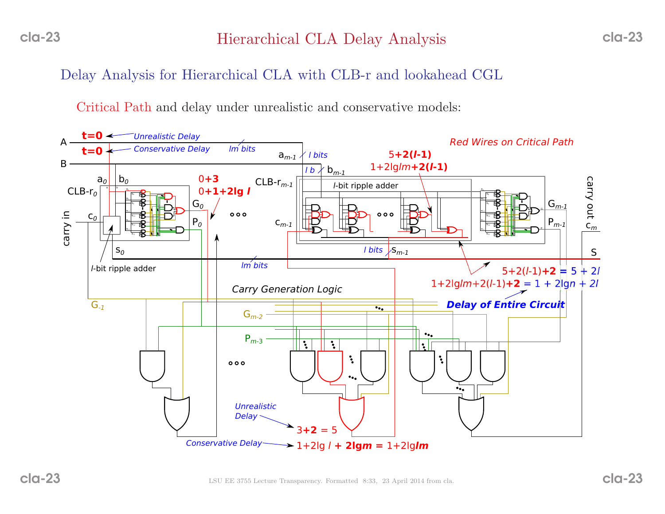Delay Analysis for Hierarchical CLA with CLB-r and lookahead CGL

Critical Path and delay under unrealistic and conservative models:

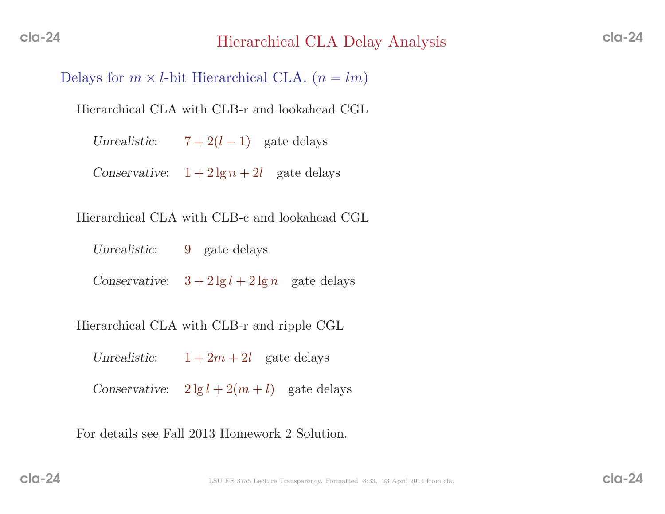Delays for  $m \times l$ -bit Hierarchical CLA.  $(n = lm)$ 

Hierarchical CLA with CLB-r and lookahead CGL

Unrealistic: $7+2(l-1)$  gate delays

Conservative:  $1 + 2 \lg n + 2l$  gate delays

Hierarchical CLA with CLB-c and lookahead CGL

Unrealistic:9 gate delays

Conservative:  $3 + 2 \lg l + 2 \lg n$  gate delays

Hierarchical CLA with CLB-r and ripple CGL

Unrealistic: $1 + 2m + 2l$  gate delays Conservative:  $2 \lg l + 2(m + l)$  gate delays

For details see Fall <sup>2013</sup> Homework <sup>2</sup> Solution.